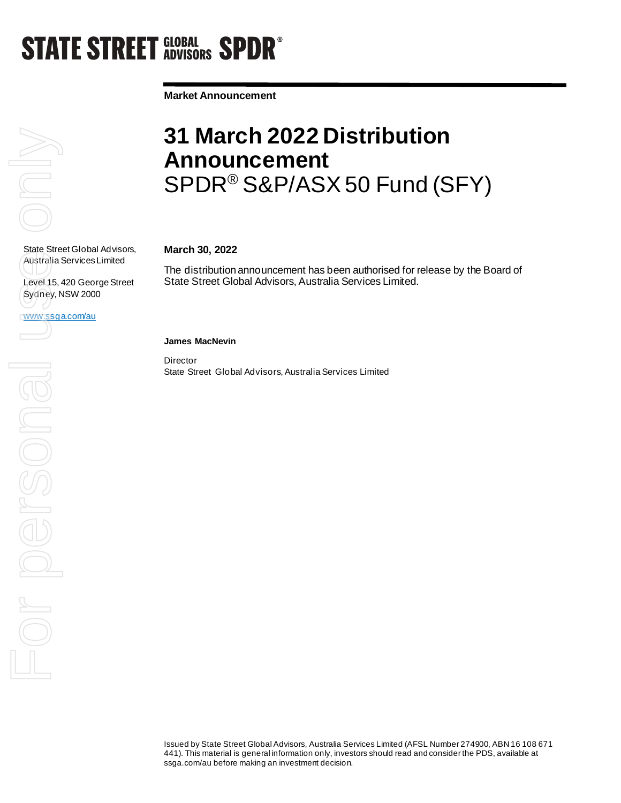## **STATE STREET GLOBAL SPDR<sup>®</sup>**

**Market Announcement**

# $\overline{\subset}$

State Street Global Advisors, Australia Services Limited

Level 15, 420 George Street Sydney, NSW 2000

www.ssga.com/au

### **31 March 2022 Distribution Announcement**  SPDR® S&P/ASX 50 Fund (SFY)

#### **March 30, 2022**

The distribution announcement has been authorised for release by the Board of State Street Global Advisors, Australia Services Limited.

#### **James MacNevin**

**Director** State Street Global Advisors, Australia Services Limited

Issued by State Street Global Advisors, Australia Services Limited (AFSL Number 274900, ABN 16 108 671 441). This material is general information only, investors should read and consider the PDS, available at ssga.com/au before making an investment decision.

State Street Globa<br>Australia Services<br>Level 15, 420 Geo<br>WWW.SSga.com/au<br>Comparison Comparison For persona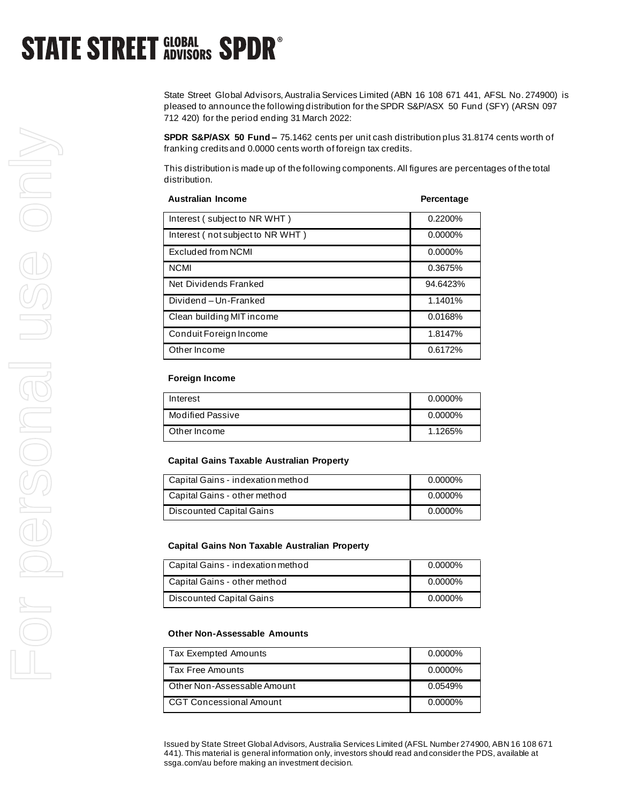## **STATE STREET GLOBAL SPDR<sup>®</sup>**

State Street Global Advisors, Australia Services Limited (ABN 16 108 671 441, AFSL No. 274900) is pleased to announce the following distribution for the SPDR S&P/ASX 50 Fund (SFY) (ARSN 097 712 420) for the period ending 31 March 2022:

**SPDR S&P/ASX 50 Fund –** 75.1462 cents per unit cash distribution plus 31.8174 cents worth of franking credits and 0.0000 cents worth of foreign tax credits.

This distribution is made up of the following components. All figures are percentages of the total distribution.

| <b>Australian Income</b>         | Percentage |
|----------------------------------|------------|
| Interest (subject to NR WHT)     | 0.2200%    |
| Interest (not subject to NR WHT) | $0.0000\%$ |
| Excluded from NCMI               | $0.0000\%$ |
| <b>NCMI</b>                      | 0.3675%    |
| Net Dividends Franked            | 94.6423%   |
| Dividend-Un-Franked              | 1.1401%    |
| Clean building MIT income        | 0.0168%    |
| Conduit Foreign Income           | 1.8147%    |
| Other Income                     | 0.6172%    |

#### **Foreign Income**

| Interest                | $0.0000\%$ |
|-------------------------|------------|
| <b>Modified Passive</b> | $0.0000\%$ |
| Other Income            | 1.1265%    |

#### **Capital Gains Taxable Australian Property**

| Capital Gains - indexation method | 0.0000%    |
|-----------------------------------|------------|
| Capital Gains - other method      | $0.0000\%$ |
| Discounted Capital Gains          | $0.0000\%$ |

#### **Capital Gains Non Taxable Australian Property**

| Capital Gains - indexation method | 0.0000% |
|-----------------------------------|---------|
| Capital Gains - other method      | 0.0000% |
| Discounted Capital Gains          | 0.0000% |

#### **Other Non-Assessable Amounts**

| Tax Exempted Amounts        | $0.0000\%$ |
|-----------------------------|------------|
| Tax Free Amounts            | $0.0000\%$ |
| Other Non-Assessable Amount | 0.0549%    |
| CGT Concessional Amount     | $0.0000\%$ |

Issued by State Street Global Advisors, Australia Services Limited (AFSL Number 274900, ABN 16 108 671 441). This material is general information only, investors should read and consider the PDS, available at ssga.com/au before making an investment decision.